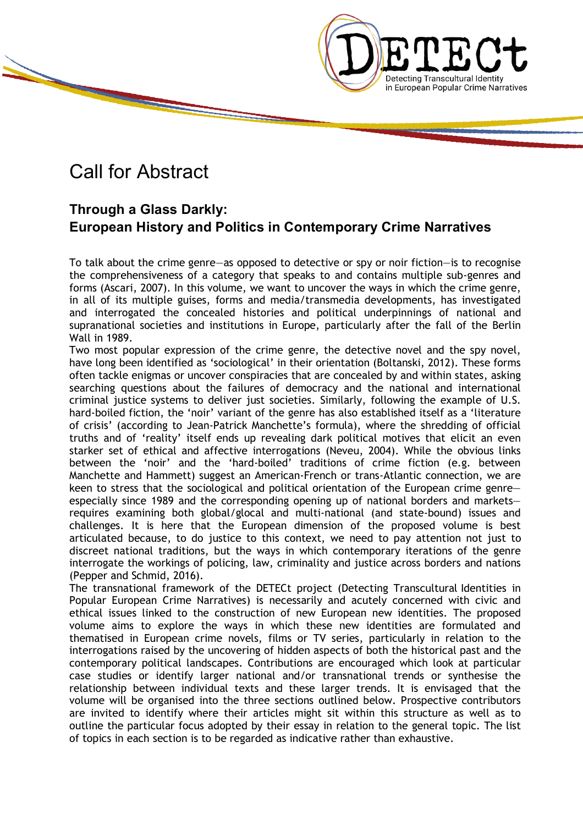

## Call for Abstract

### **Through a Glass Darkly: European History and Politics in Contemporary Crime Narratives**

To talk about the crime genre—as opposed to detective or spy or noir fiction—is to recognise the comprehensiveness of a category that speaks to and contains multiple sub-genres and forms (Ascari, 2007). In this volume, we want to uncover the ways in which the crime genre, in all of its multiple guises, forms and media/transmedia developments, has investigated and interrogated the concealed histories and political underpinnings of national and supranational societies and institutions in Europe, particularly after the fall of the Berlin Wall in 1989.

Two most popular expression of the crime genre, the detective novel and the spy novel, have long been identified as 'sociological' in their orientation (Boltanski, 2012). These forms often tackle enigmas or uncover conspiracies that are concealed by and within states, asking searching questions about the failures of democracy and the national and international criminal justice systems to deliver just societies. Similarly, following the example of U.S. hard-boiled fiction, the 'noir' variant of the genre has also established itself as a 'literature of crisis' (according to Jean-Patrick Manchette's formula), where the shredding of official truths and of 'reality' itself ends up revealing dark political motives that elicit an even starker set of ethical and affective interrogations (Neveu, 2004). While the obvious links between the 'noir' and the 'hard-boiled' traditions of crime fiction (e.g. between Manchette and Hammett) suggest an American-French or trans-Atlantic connection, we are keen to stress that the sociological and political orientation of the European crime genre especially since 1989 and the corresponding opening up of national borders and markets requires examining both global/glocal and multi-national (and state-bound) issues and challenges. It is here that the European dimension of the proposed volume is best articulated because, to do justice to this context, we need to pay attention not just to discreet national traditions, but the ways in which contemporary iterations of the genre interrogate the workings of policing, law, criminality and justice across borders and nations (Pepper and Schmid, 2016).

The transnational framework of the DETECt project (Detecting Transcultural Identities in Popular European Crime Narratives) is necessarily and acutely concerned with civic and ethical issues linked to the construction of new European new identities. The proposed volume aims to explore the ways in which these new identities are formulated and thematised in European crime novels, films or TV series, particularly in relation to the interrogations raised by the uncovering of hidden aspects of both the historical past and the contemporary political landscapes. Contributions are encouraged which look at particular case studies or identify larger national and/or transnational trends or synthesise the relationship between individual texts and these larger trends. It is envisaged that the volume will be organised into the three sections outlined below. Prospective contributors are invited to identify where their articles might sit within this structure as well as to outline the particular focus adopted by their essay in relation to the general topic. The list of topics in each section is to be regarded as indicative rather than exhaustive.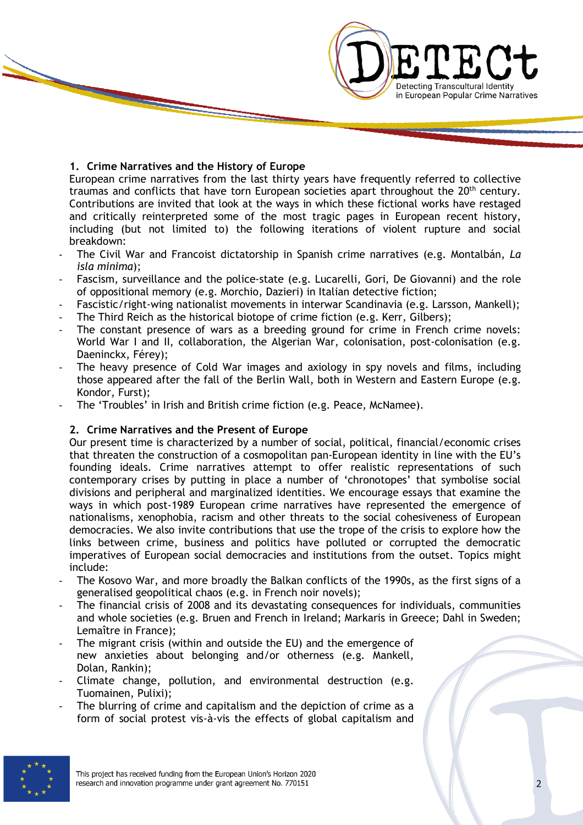# **Detecting Transcultural Identity** in European Popular Crime Narratives

#### **1. Crime Narratives and the History of Europe**

European crime narratives from the last thirty years have frequently referred to collective traumas and conflicts that have torn European societies apart throughout the 20<sup>th</sup> century. Contributions are invited that look at the ways in which these fictional works have restaged and critically reinterpreted some of the most tragic pages in European recent history, including (but not limited to) the following iterations of violent rupture and social breakdown:

- The Civil War and Francoist dictatorship in Spanish crime narratives (e.g. Montalbán, *La isla minima*);
- Fascism, surveillance and the police-state (e.g. Lucarelli, Gori, De Giovanni) and the role of oppositional memory (e.g. Morchio, Dazieri) in Italian detective fiction;
- Fascistic/right-wing nationalist movements in interwar Scandinavia (e.g. Larsson, Mankell);
- The Third Reich as the historical biotope of crime fiction (e.g. Kerr, Gilbers);
- The constant presence of wars as a breeding ground for crime in French crime novels: World War I and II, collaboration, the Algerian War, colonisation, post-colonisation (e.g. Daeninckx, Férey);
- The heavy presence of Cold War images and axiology in spy novels and films, including those appeared after the fall of the Berlin Wall, both in Western and Eastern Europe (e.g. Kondor, Furst);
- The 'Troubles' in Irish and British crime fiction (e.g. Peace, McNamee).

#### **2. Crime Narratives and the Present of Europe**

Our present time is characterized by a number of social, political, financial/economic crises that threaten the construction of a cosmopolitan pan-European identity in line with the EU's founding ideals. Crime narratives attempt to offer realistic representations of such contemporary crises by putting in place a number of 'chronotopes' that symbolise social divisions and peripheral and marginalized identities. We encourage essays that examine the ways in which post-1989 European crime narratives have represented the emergence of nationalisms, xenophobia, racism and other threats to the social cohesiveness of European democracies. We also invite contributions that use the trope of the crisis to explore how the links between crime, business and politics have polluted or corrupted the democratic imperatives of European social democracies and institutions from the outset. Topics might include:

- The Kosovo War, and more broadly the Balkan conflicts of the 1990s, as the first signs of a generalised geopolitical chaos (e.g. in French noir novels);
- The financial crisis of 2008 and its devastating consequences for individuals, communities and whole societies (e.g. Bruen and French in Ireland; Markaris in Greece; Dahl in Sweden; Lemaître in France);
- The migrant crisis (within and outside the EU) and the emergence of new anxieties about belonging and/or otherness (e.g. Mankell, Dolan, Rankin);
- Climate change, pollution, and environmental destruction (e.g. Tuomainen, Pulixi);
- The blurring of crime and capitalism and the depiction of crime as a form of social protest vis-à-vis the effects of global capitalism and